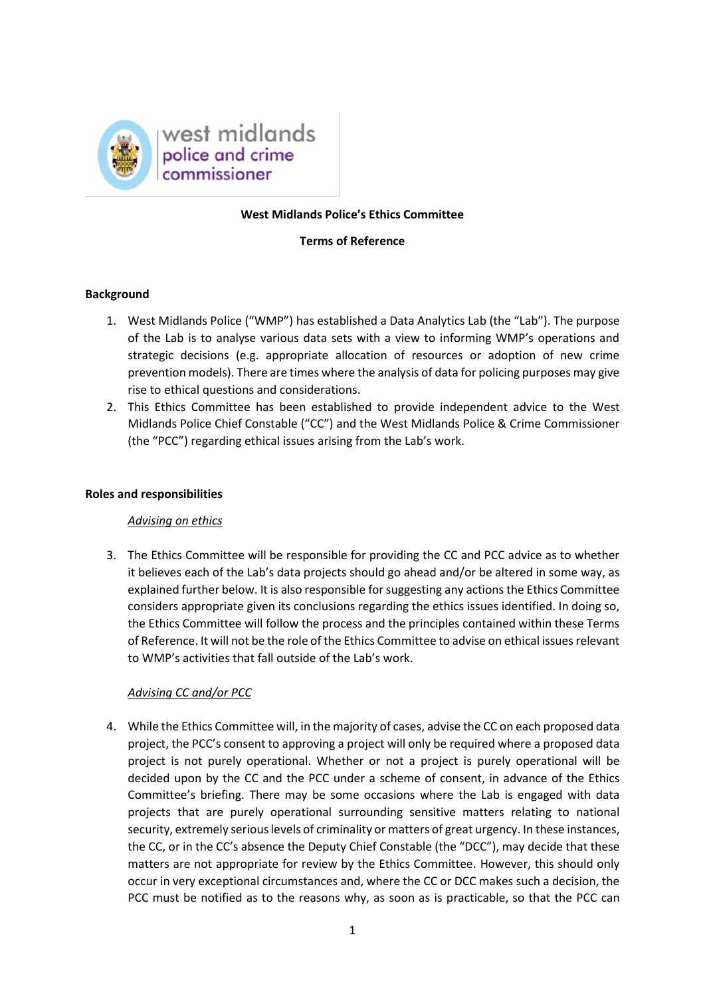

### **West Midlands Police's Ethics Committee**

### **Terms of Reference**

## **Background**

- 1. West Midlands Police ("WMP") has established a Data Analytics Lab (the "Lab"). The purpose of the Lab is to analyse various data sets with a view to informing WMP's operations and strategic decisions (e.g. appropriate allocation of resources or adoption of new crime prevention models). There are times where the analysis of data for policing purposes may give rise to ethical questions and considerations.
- 2. This Ethics Committee has been established to provide independent advice to the West Midlands Police Chief Constable ("CC") and the West Midlands Police & Crime Commissioner (the "PCC") regarding ethical issues arising from the Lab's work.

#### **Roles and responsibilities**

### *Advising on ethics*

3. The Ethics Committee will be responsible for providing the CC and PCC advice as to whether it believes each of the Lab's data projects should go ahead and/or be altered in some way, as explained further below. It is also responsible for suggesting any actions the Ethics Committee considers appropriate given its conclusions regarding the ethics issues identified. In doing so, the Ethics Committee will follow the process and the principles contained within these Terms of Reference. It will not be the role of the Ethics Committee to advise on ethical issues relevant to WMP's activities that fall outside of the Lab's work.

### *Advising CC and/or PCC*

4. While the Ethics Committee will, in the majority of cases, advise the CC on each proposed data project, the PCC's consent to approving a project will only be required where a proposed data project is not purely operational. Whether or not a project is purely operational will be decided upon by the CC and the PCC under a scheme of consent, in advance of the Ethics Committee's briefing. There may be some occasions where the Lab is engaged with data projects that are purely operational surrounding sensitive matters relating to national security, extremely serious levels of criminality or matters of great urgency. In these instances, the CC, or in the CC's absence the Deputy Chief Constable (the "DCC"), may decide that these matters are not appropriate for review by the Ethics Committee. However, this should only occur in very exceptional circumstances and, where the CC or DCC makes such a decision, the PCC must be notified as to the reasons why, as soon as is practicable, so that the PCC can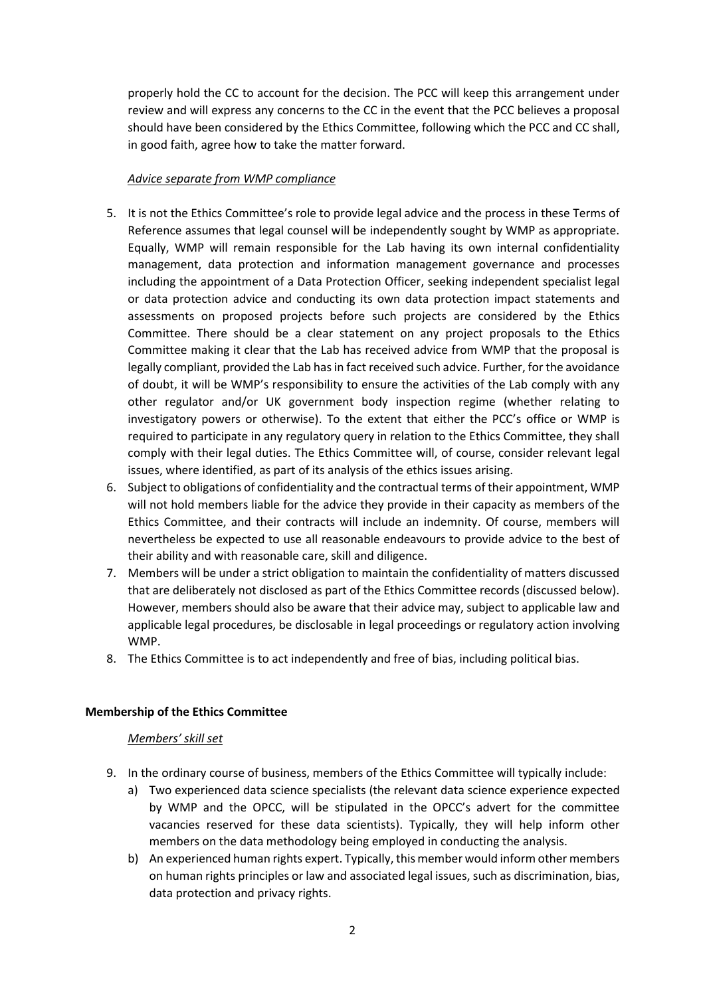properly hold the CC to account for the decision. The PCC will keep this arrangement under review and will express any concerns to the CC in the event that the PCC believes a proposal should have been considered by the Ethics Committee, following which the PCC and CC shall, in good faith, agree how to take the matter forward.

## *Advice separate from WMP compliance*

- 5. It is not the Ethics Committee's role to provide legal advice and the process in these Terms of Reference assumes that legal counsel will be independently sought by WMP as appropriate. Equally, WMP will remain responsible for the Lab having its own internal confidentiality management, data protection and information management governance and processes including the appointment of a Data Protection Officer, seeking independent specialist legal or data protection advice and conducting its own data protection impact statements and assessments on proposed projects before such projects are considered by the Ethics Committee. There should be a clear statement on any project proposals to the Ethics Committee making it clear that the Lab has received advice from WMP that the proposal is legally compliant, provided the Lab has in fact received such advice. Further, for the avoidance of doubt, it will be WMP's responsibility to ensure the activities of the Lab comply with any other regulator and/or UK government body inspection regime (whether relating to investigatory powers or otherwise). To the extent that either the PCC's office or WMP is required to participate in any regulatory query in relation to the Ethics Committee, they shall comply with their legal duties. The Ethics Committee will, of course, consider relevant legal issues, where identified, as part of its analysis of the ethics issues arising.
- 6. Subject to obligations of confidentiality and the contractual terms of their appointment, WMP will not hold members liable for the advice they provide in their capacity as members of the Ethics Committee, and their contracts will include an indemnity. Of course, members will nevertheless be expected to use all reasonable endeavours to provide advice to the best of their ability and with reasonable care, skill and diligence.
- 7. Members will be under a strict obligation to maintain the confidentiality of matters discussed that are deliberately not disclosed as part of the Ethics Committee records (discussed below). However, members should also be aware that their advice may, subject to applicable law and applicable legal procedures, be disclosable in legal proceedings or regulatory action involving WMP.
- 8. The Ethics Committee is to act independently and free of bias, including political bias.

# **Membership of the Ethics Committee**

### *Members' skill set*

- 9. In the ordinary course of business, members of the Ethics Committee will typically include:
	- a) Two experienced data science specialists (the relevant data science experience expected by WMP and the OPCC, will be stipulated in the OPCC's advert for the committee vacancies reserved for these data scientists). Typically, they will help inform other members on the data methodology being employed in conducting the analysis.
	- b) An experienced human rights expert. Typically, this member would inform other members on human rights principles or law and associated legal issues, such as discrimination, bias, data protection and privacy rights.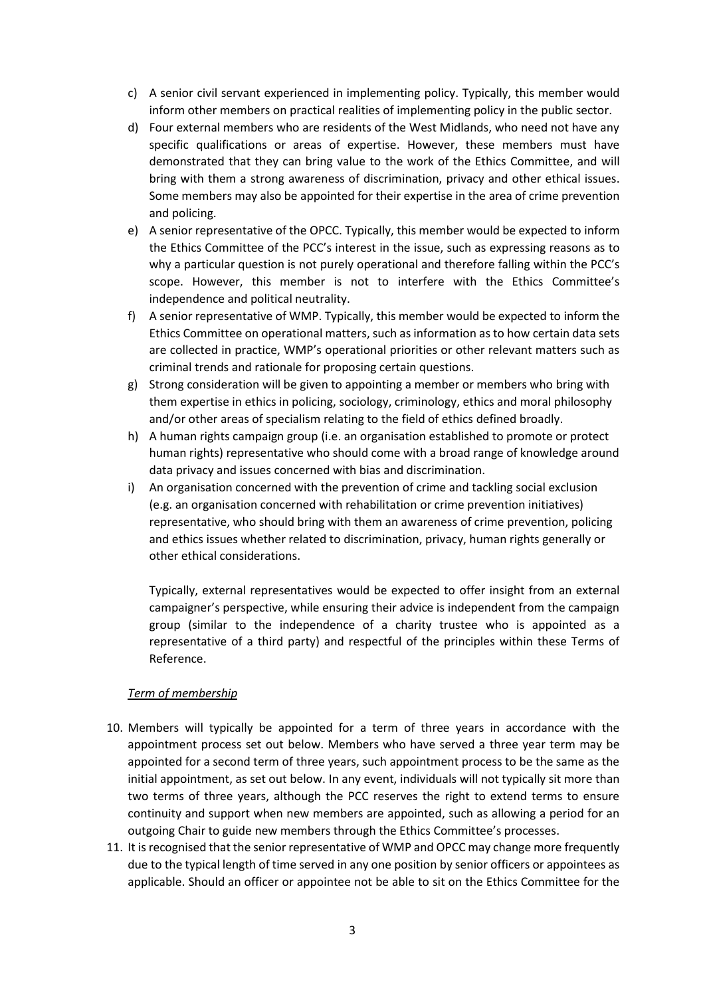- c) A senior civil servant experienced in implementing policy. Typically, this member would inform other members on practical realities of implementing policy in the public sector.
- d) Four external members who are residents of the West Midlands, who need not have any specific qualifications or areas of expertise. However, these members must have demonstrated that they can bring value to the work of the Ethics Committee, and will bring with them a strong awareness of discrimination, privacy and other ethical issues. Some members may also be appointed for their expertise in the area of crime prevention and policing.
- e) A senior representative of the OPCC. Typically, this member would be expected to inform the Ethics Committee of the PCC's interest in the issue, such as expressing reasons as to why a particular question is not purely operational and therefore falling within the PCC's scope. However, this member is not to interfere with the Ethics Committee's independence and political neutrality.
- f) A senior representative of WMP. Typically, this member would be expected to inform the Ethics Committee on operational matters, such as information as to how certain data sets are collected in practice, WMP's operational priorities or other relevant matters such as criminal trends and rationale for proposing certain questions.
- g) Strong consideration will be given to appointing a member or members who bring with them expertise in ethics in policing, sociology, criminology, ethics and moral philosophy and/or other areas of specialism relating to the field of ethics defined broadly.
- h) A human rights campaign group (i.e. an organisation established to promote or protect human rights) representative who should come with a broad range of knowledge around data privacy and issues concerned with bias and discrimination.
- i) An organisation concerned with the prevention of crime and tackling social exclusion (e.g. an organisation concerned with rehabilitation or crime prevention initiatives) representative, who should bring with them an awareness of crime prevention, policing and ethics issues whether related to discrimination, privacy, human rights generally or other ethical considerations.

Typically, external representatives would be expected to offer insight from an external campaigner's perspective, while ensuring their advice is independent from the campaign group (similar to the independence of a charity trustee who is appointed as a representative of a third party) and respectful of the principles within these Terms of Reference.

# *Term of membership*

- 10. Members will typically be appointed for a term of three years in accordance with the appointment process set out below. Members who have served a three year term may be appointed for a second term of three years, such appointment process to be the same as the initial appointment, as set out below. In any event, individuals will not typically sit more than two terms of three years, although the PCC reserves the right to extend terms to ensure continuity and support when new members are appointed, such as allowing a period for an outgoing Chair to guide new members through the Ethics Committee's processes.
- 11. It is recognised that the senior representative of WMP and OPCC may change more frequently due to the typical length of time served in any one position by senior officers or appointees as applicable. Should an officer or appointee not be able to sit on the Ethics Committee for the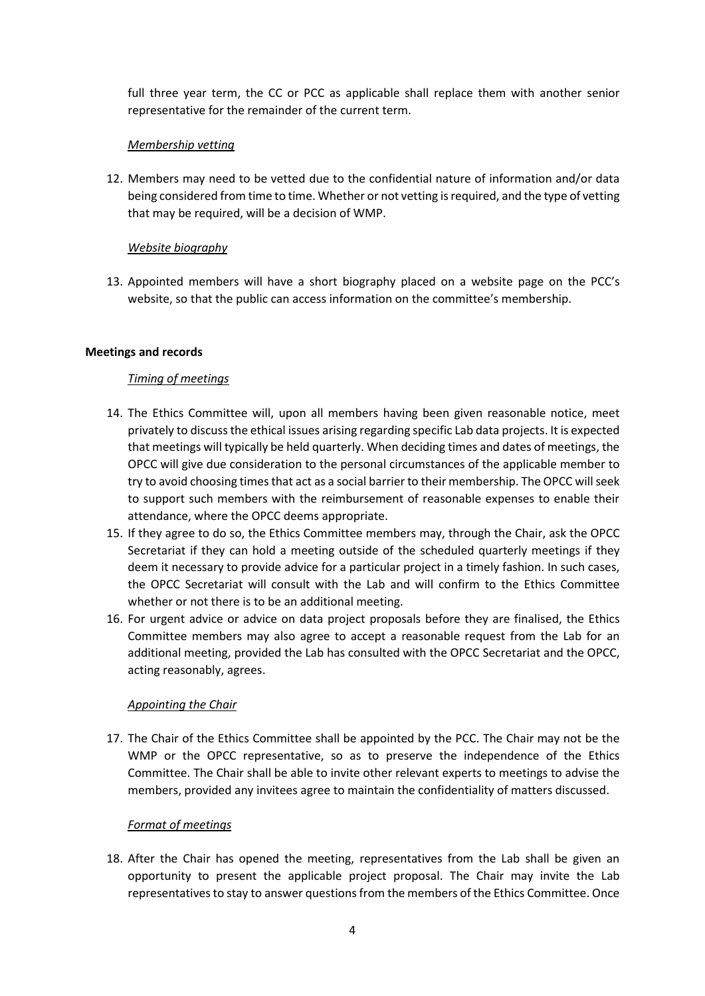full three year term, the CC or PCC as applicable shall replace them with another senior representative for the remainder of the current term.

### *Membership vetting*

12. Members may need to be vetted due to the confidential nature of information and/or data being considered from time to time. Whether or not vetting is required, and the type of vetting that may be required, will be a decision of WMP.

## *Website biography*

13. Appointed members will have a short biography placed on a website page on the PCC's website, so that the public can access information on the committee's membership.

## **Meetings and records**

## *Timing of meetings*

- 14. The Ethics Committee will, upon all members having been given reasonable notice, meet privately to discuss the ethical issues arising regarding specific Lab data projects. It is expected that meetings will typically be held quarterly. When deciding times and dates of meetings, the OPCC will give due consideration to the personal circumstances of the applicable member to try to avoid choosing times that act as a social barrier to their membership. The OPCC will seek to support such members with the reimbursement of reasonable expenses to enable their attendance, where the OPCC deems appropriate.
- 15. If they agree to do so, the Ethics Committee members may, through the Chair, ask the OPCC Secretariat if they can hold a meeting outside of the scheduled quarterly meetings if they deem it necessary to provide advice for a particular project in a timely fashion. In such cases, the OPCC Secretariat will consult with the Lab and will confirm to the Ethics Committee whether or not there is to be an additional meeting.
- 16. For urgent advice or advice on data project proposals before they are finalised, the Ethics Committee members may also agree to accept a reasonable request from the Lab for an additional meeting, provided the Lab has consulted with the OPCC Secretariat and the OPCC, acting reasonably, agrees.

### *Appointing the Chair*

17. The Chair of the Ethics Committee shall be appointed by the PCC. The Chair may not be the WMP or the OPCC representative, so as to preserve the independence of the Ethics Committee. The Chair shall be able to invite other relevant experts to meetings to advise the members, provided any invitees agree to maintain the confidentiality of matters discussed.

# *Format of meetings*

18. After the Chair has opened the meeting, representatives from the Lab shall be given an opportunity to present the applicable project proposal. The Chair may invite the Lab representatives to stay to answer questions from the members of the Ethics Committee. Once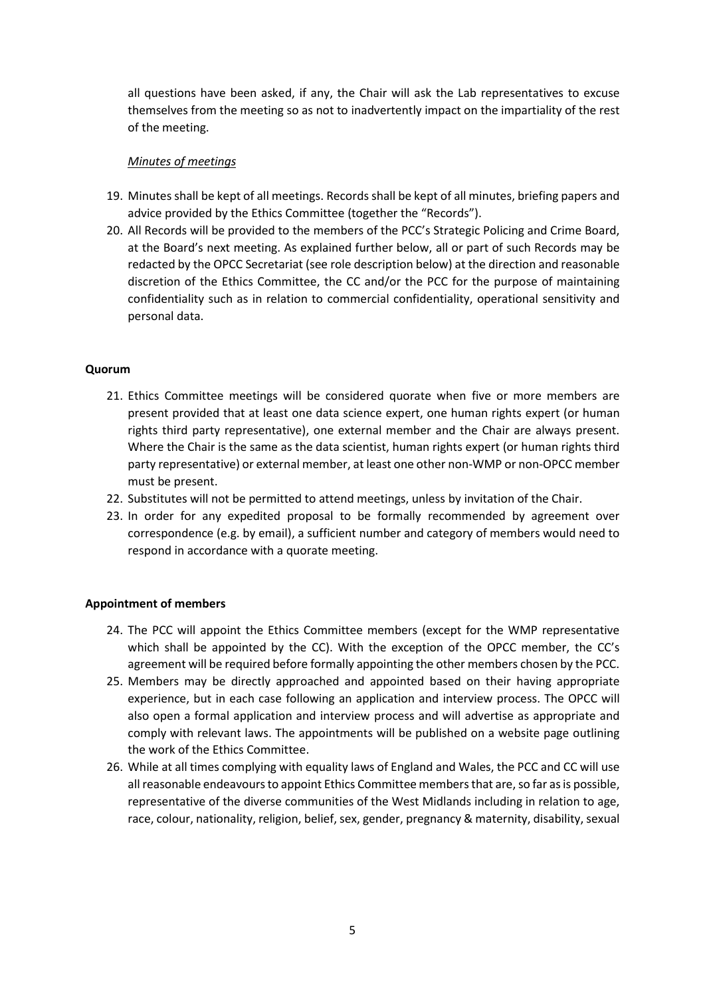all questions have been asked, if any, the Chair will ask the Lab representatives to excuse themselves from the meeting so as not to inadvertently impact on the impartiality of the rest of the meeting.

## *Minutes of meetings*

- 19. Minutes shall be kept of all meetings. Records shall be kept of all minutes, briefing papers and advice provided by the Ethics Committee (together the "Records").
- 20. All Records will be provided to the members of the PCC's Strategic Policing and Crime Board, at the Board's next meeting. As explained further below, all or part of such Records may be redacted by the OPCC Secretariat (see role description below) at the direction and reasonable discretion of the Ethics Committee, the CC and/or the PCC for the purpose of maintaining confidentiality such as in relation to commercial confidentiality, operational sensitivity and personal data.

## **Quorum**

- 21. Ethics Committee meetings will be considered quorate when five or more members are present provided that at least one data science expert, one human rights expert (or human rights third party representative), one external member and the Chair are always present. Where the Chair is the same as the data scientist, human rights expert (or human rights third party representative) or external member, at least one other non-WMP or non-OPCC member must be present.
- 22. Substitutes will not be permitted to attend meetings, unless by invitation of the Chair.
- 23. In order for any expedited proposal to be formally recommended by agreement over correspondence (e.g. by email), a sufficient number and category of members would need to respond in accordance with a quorate meeting.

### **Appointment of members**

- 24. The PCC will appoint the Ethics Committee members (except for the WMP representative which shall be appointed by the CC). With the exception of the OPCC member, the CC's agreement will be required before formally appointing the other members chosen by the PCC.
- 25. Members may be directly approached and appointed based on their having appropriate experience, but in each case following an application and interview process. The OPCC will also open a formal application and interview process and will advertise as appropriate and comply with relevant laws. The appointments will be published on a website page outlining the work of the Ethics Committee.
- 26. While at all times complying with equality laws of England and Wales, the PCC and CC will use all reasonable endeavours to appoint Ethics Committee members that are, so far as is possible, representative of the diverse communities of the West Midlands including in relation to age, race, colour, nationality, religion, belief, sex, gender, pregnancy & maternity, disability, sexual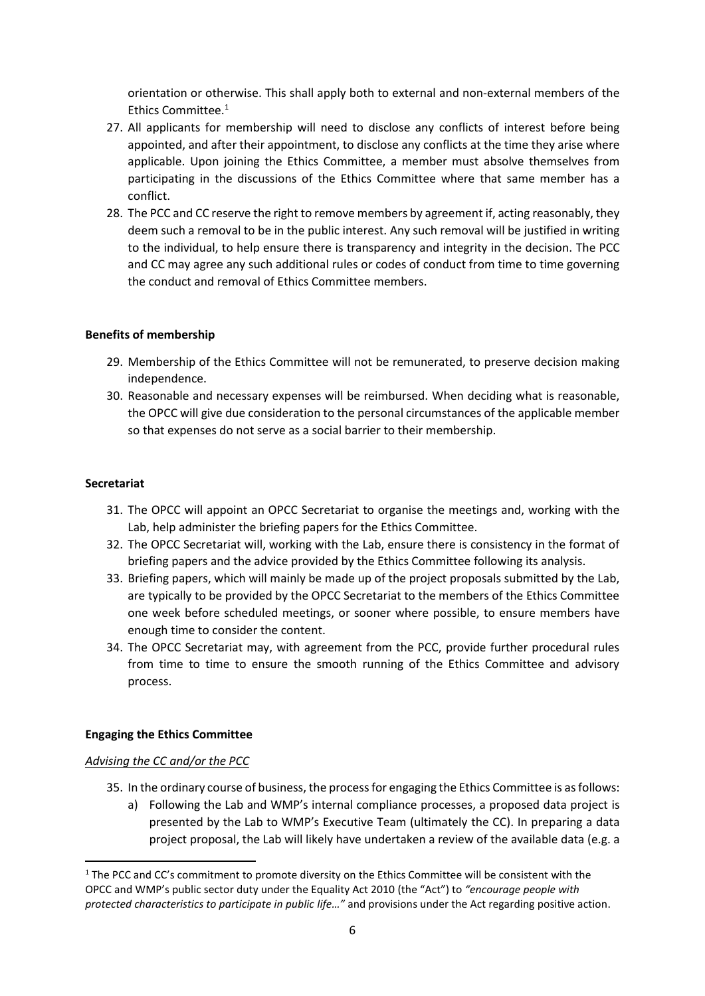orientation or otherwise. This shall apply both to external and non-external members of the Ethics Committee.<sup>1</sup>

- 27. All applicants for membership will need to disclose any conflicts of interest before being appointed, and after their appointment, to disclose any conflicts at the time they arise where applicable. Upon joining the Ethics Committee, a member must absolve themselves from participating in the discussions of the Ethics Committee where that same member has a conflict.
- 28. The PCC and CC reserve the right to remove members by agreement if, acting reasonably, they deem such a removal to be in the public interest. Any such removal will be justified in writing to the individual, to help ensure there is transparency and integrity in the decision. The PCC and CC may agree any such additional rules or codes of conduct from time to time governing the conduct and removal of Ethics Committee members.

## **Benefits of membership**

- 29. Membership of the Ethics Committee will not be remunerated, to preserve decision making independence.
- 30. Reasonable and necessary expenses will be reimbursed. When deciding what is reasonable, the OPCC will give due consideration to the personal circumstances of the applicable member so that expenses do not serve as a social barrier to their membership.

### **Secretariat**

- 31. The OPCC will appoint an OPCC Secretariat to organise the meetings and, working with the Lab, help administer the briefing papers for the Ethics Committee.
- 32. The OPCC Secretariat will, working with the Lab, ensure there is consistency in the format of briefing papers and the advice provided by the Ethics Committee following its analysis.
- 33. Briefing papers, which will mainly be made up of the project proposals submitted by the Lab, are typically to be provided by the OPCC Secretariat to the members of the Ethics Committee one week before scheduled meetings, or sooner where possible, to ensure members have enough time to consider the content.
- 34. The OPCC Secretariat may, with agreement from the PCC, provide further procedural rules from time to time to ensure the smooth running of the Ethics Committee and advisory process.

# **Engaging the Ethics Committee**

### *Advising the CC and/or the PCC*

**.** 

- 35. In the ordinary course of business, the process for engaging the Ethics Committee is as follows:
	- a) Following the Lab and WMP's internal compliance processes, a proposed data project is presented by the Lab to WMP's Executive Team (ultimately the CC). In preparing a data project proposal, the Lab will likely have undertaken a review of the available data (e.g. a

<sup>&</sup>lt;sup>1</sup> The PCC and CC's commitment to promote diversity on the Ethics Committee will be consistent with the OPCC and WMP's public sector duty under the Equality Act 2010 (the "Act") to *"encourage people with protected characteristics to participate in public life…"* and provisions under the Act regarding positive action.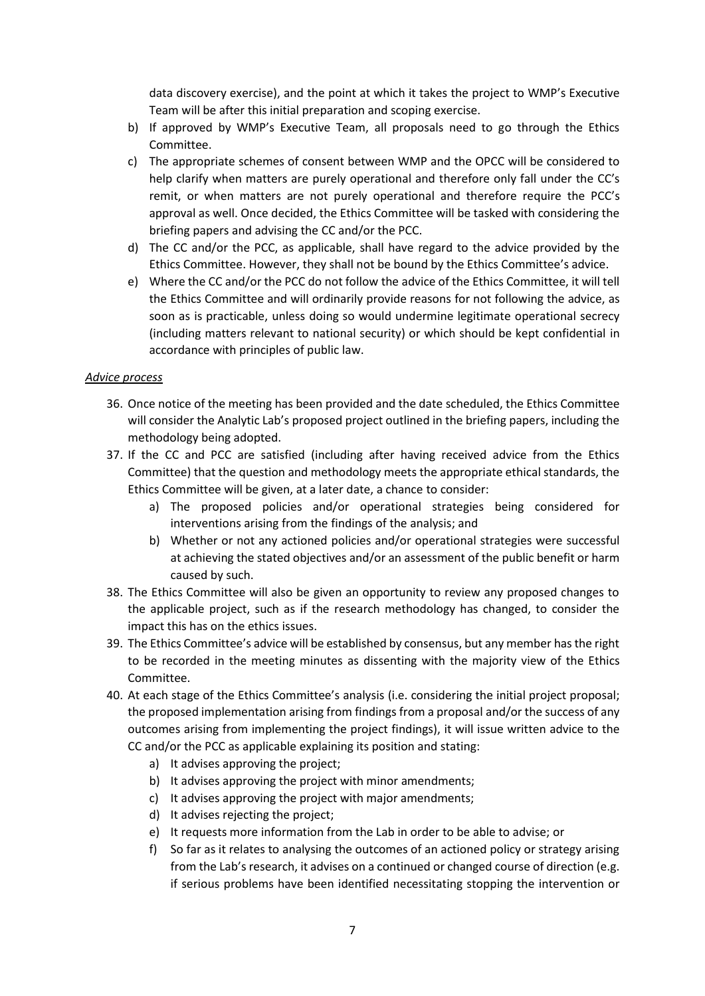data discovery exercise), and the point at which it takes the project to WMP's Executive Team will be after this initial preparation and scoping exercise.

- b) If approved by WMP's Executive Team, all proposals need to go through the Ethics Committee.
- c) The appropriate schemes of consent between WMP and the OPCC will be considered to help clarify when matters are purely operational and therefore only fall under the CC's remit, or when matters are not purely operational and therefore require the PCC's approval as well. Once decided, the Ethics Committee will be tasked with considering the briefing papers and advising the CC and/or the PCC.
- d) The CC and/or the PCC, as applicable, shall have regard to the advice provided by the Ethics Committee. However, they shall not be bound by the Ethics Committee's advice.
- e) Where the CC and/or the PCC do not follow the advice of the Ethics Committee, it will tell the Ethics Committee and will ordinarily provide reasons for not following the advice, as soon as is practicable, unless doing so would undermine legitimate operational secrecy (including matters relevant to national security) or which should be kept confidential in accordance with principles of public law.

## *Advice process*

- 36. Once notice of the meeting has been provided and the date scheduled, the Ethics Committee will consider the Analytic Lab's proposed project outlined in the briefing papers, including the methodology being adopted.
- 37. If the CC and PCC are satisfied (including after having received advice from the Ethics Committee) that the question and methodology meets the appropriate ethical standards, the Ethics Committee will be given, at a later date, a chance to consider:
	- a) The proposed policies and/or operational strategies being considered for interventions arising from the findings of the analysis; and
	- b) Whether or not any actioned policies and/or operational strategies were successful at achieving the stated objectives and/or an assessment of the public benefit or harm caused by such.
- 38. The Ethics Committee will also be given an opportunity to review any proposed changes to the applicable project, such as if the research methodology has changed, to consider the impact this has on the ethics issues.
- 39. The Ethics Committee's advice will be established by consensus, but any member has the right to be recorded in the meeting minutes as dissenting with the majority view of the Ethics Committee.
- 40. At each stage of the Ethics Committee's analysis (i.e. considering the initial project proposal; the proposed implementation arising from findings from a proposal and/or the success of any outcomes arising from implementing the project findings), it will issue written advice to the CC and/or the PCC as applicable explaining its position and stating:
	- a) It advises approving the project;
	- b) It advises approving the project with minor amendments;
	- c) It advises approving the project with major amendments;
	- d) It advises rejecting the project;
	- e) It requests more information from the Lab in order to be able to advise; or
	- f) So far as it relates to analysing the outcomes of an actioned policy or strategy arising from the Lab's research, it advises on a continued or changed course of direction (e.g. if serious problems have been identified necessitating stopping the intervention or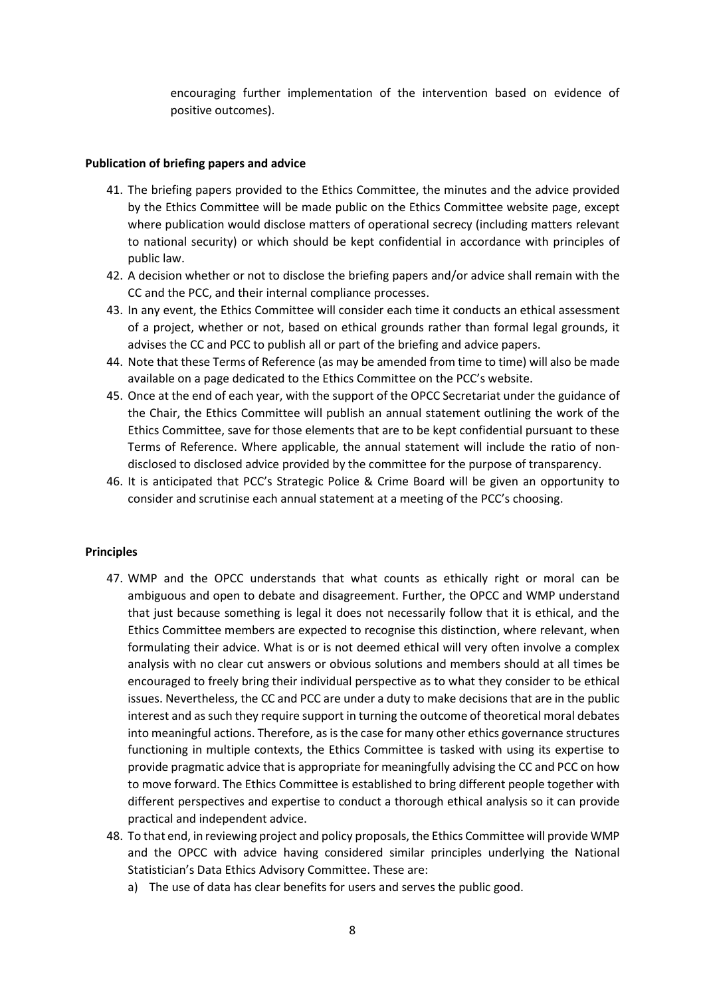encouraging further implementation of the intervention based on evidence of positive outcomes).

#### **Publication of briefing papers and advice**

- 41. The briefing papers provided to the Ethics Committee, the minutes and the advice provided by the Ethics Committee will be made public on the Ethics Committee website page, except where publication would disclose matters of operational secrecy (including matters relevant to national security) or which should be kept confidential in accordance with principles of public law.
- 42. A decision whether or not to disclose the briefing papers and/or advice shall remain with the CC and the PCC, and their internal compliance processes.
- 43. In any event, the Ethics Committee will consider each time it conducts an ethical assessment of a project, whether or not, based on ethical grounds rather than formal legal grounds, it advises the CC and PCC to publish all or part of the briefing and advice papers.
- 44. Note that these Terms of Reference (as may be amended from time to time) will also be made available on a page dedicated to the Ethics Committee on the PCC's website.
- 45. Once at the end of each year, with the support of the OPCC Secretariat under the guidance of the Chair, the Ethics Committee will publish an annual statement outlining the work of the Ethics Committee, save for those elements that are to be kept confidential pursuant to these Terms of Reference. Where applicable, the annual statement will include the ratio of nondisclosed to disclosed advice provided by the committee for the purpose of transparency.
- 46. It is anticipated that PCC's Strategic Police & Crime Board will be given an opportunity to consider and scrutinise each annual statement at a meeting of the PCC's choosing.

#### **Principles**

- 47. WMP and the OPCC understands that what counts as ethically right or moral can be ambiguous and open to debate and disagreement. Further, the OPCC and WMP understand that just because something is legal it does not necessarily follow that it is ethical, and the Ethics Committee members are expected to recognise this distinction, where relevant, when formulating their advice. What is or is not deemed ethical will very often involve a complex analysis with no clear cut answers or obvious solutions and members should at all times be encouraged to freely bring their individual perspective as to what they consider to be ethical issues. Nevertheless, the CC and PCC are under a duty to make decisions that are in the public interest and as such they require support in turning the outcome of theoretical moral debates into meaningful actions. Therefore, as is the case for many other ethics governance structures functioning in multiple contexts, the Ethics Committee is tasked with using its expertise to provide pragmatic advice that is appropriate for meaningfully advising the CC and PCC on how to move forward. The Ethics Committee is established to bring different people together with different perspectives and expertise to conduct a thorough ethical analysis so it can provide practical and independent advice.
- 48. To that end, in reviewing project and policy proposals, the Ethics Committee will provide WMP and the OPCC with advice having considered similar principles underlying the National Statistician's Data Ethics Advisory Committee. These are:
	- a) The use of data has clear benefits for users and serves the public good.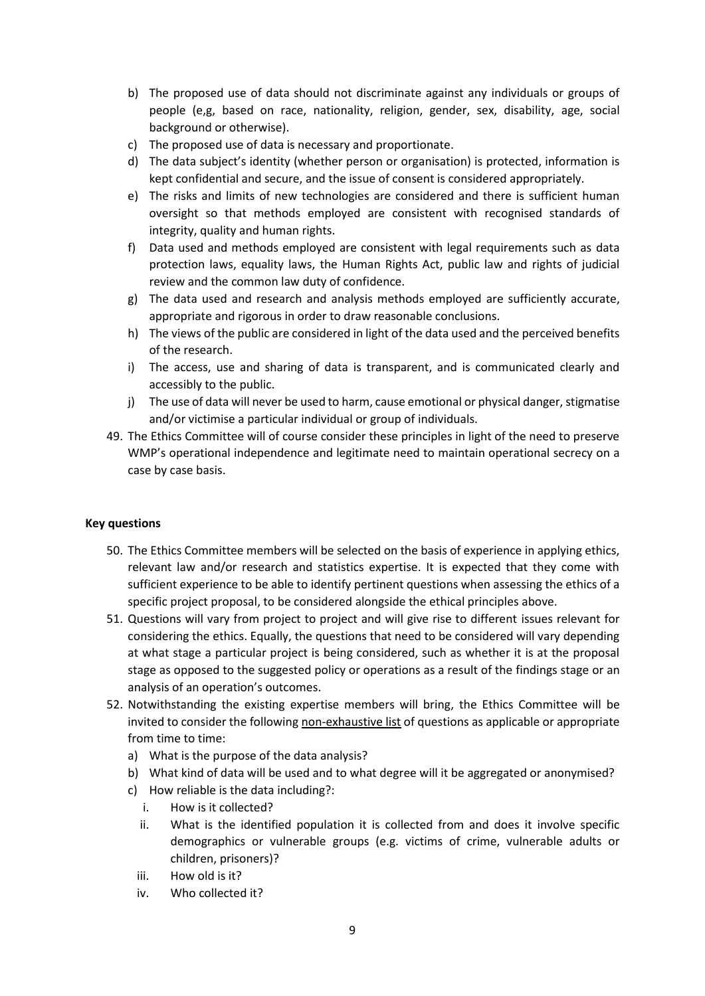- b) The proposed use of data should not discriminate against any individuals or groups of people (e,g, based on race, nationality, religion, gender, sex, disability, age, social background or otherwise).
- c) The proposed use of data is necessary and proportionate.
- d) The data subject's identity (whether person or organisation) is protected, information is kept confidential and secure, and the issue of consent is considered appropriately.
- e) The risks and limits of new technologies are considered and there is sufficient human oversight so that methods employed are consistent with recognised standards of integrity, quality and human rights.
- f) Data used and methods employed are consistent with legal requirements such as data protection laws, equality laws, the Human Rights Act, public law and rights of judicial review and the common law duty of confidence.
- g) The data used and research and analysis methods employed are sufficiently accurate, appropriate and rigorous in order to draw reasonable conclusions.
- h) The views of the public are considered in light of the data used and the perceived benefits of the research.
- i) The access, use and sharing of data is transparent, and is communicated clearly and accessibly to the public.
- j) The use of data will never be used to harm, cause emotional or physical danger, stigmatise and/or victimise a particular individual or group of individuals.
- 49. The Ethics Committee will of course consider these principles in light of the need to preserve WMP's operational independence and legitimate need to maintain operational secrecy on a case by case basis.

### **Key questions**

- 50. The Ethics Committee members will be selected on the basis of experience in applying ethics, relevant law and/or research and statistics expertise. It is expected that they come with sufficient experience to be able to identify pertinent questions when assessing the ethics of a specific project proposal, to be considered alongside the ethical principles above.
- 51. Questions will vary from project to project and will give rise to different issues relevant for considering the ethics. Equally, the questions that need to be considered will vary depending at what stage a particular project is being considered, such as whether it is at the proposal stage as opposed to the suggested policy or operations as a result of the findings stage or an analysis of an operation's outcomes.
- 52. Notwithstanding the existing expertise members will bring, the Ethics Committee will be invited to consider the following non-exhaustive list of questions as applicable or appropriate from time to time:
	- a) What is the purpose of the data analysis?
	- b) What kind of data will be used and to what degree will it be aggregated or anonymised?
	- c) How reliable is the data including?:
		- i. How is it collected?
		- ii. What is the identified population it is collected from and does it involve specific demographics or vulnerable groups (e.g. victims of crime, vulnerable adults or children, prisoners)?
		- iii. How old is it?
		- iv. Who collected it?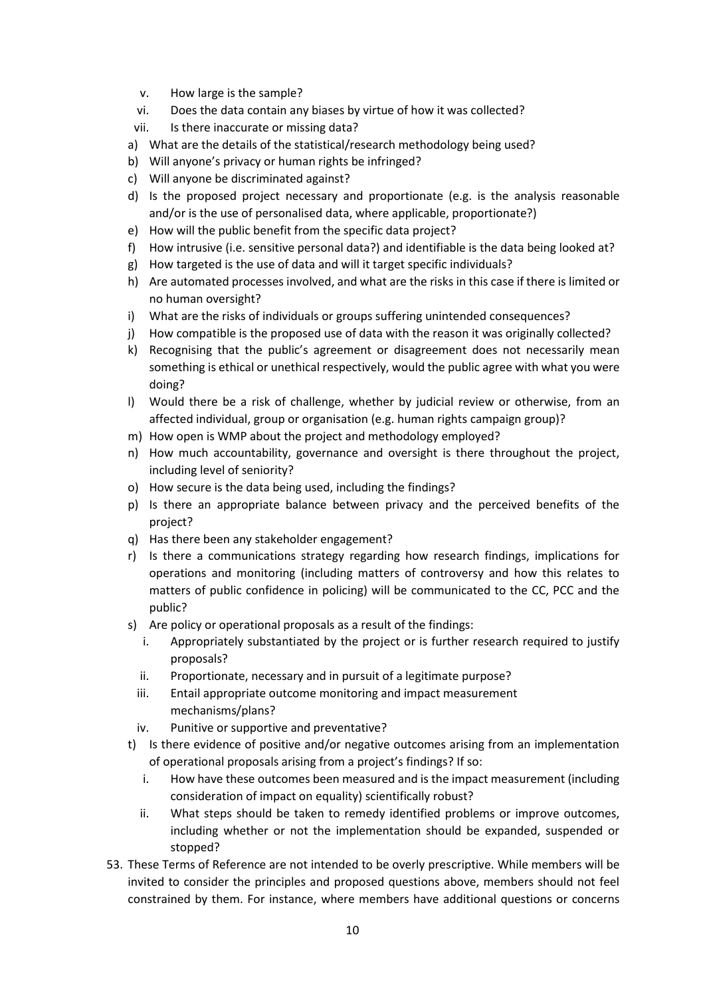- v. How large is the sample?
- vi. Does the data contain any biases by virtue of how it was collected?
- vii. Is there inaccurate or missing data?
- a) What are the details of the statistical/research methodology being used?
- b) Will anyone's privacy or human rights be infringed?
- c) Will anyone be discriminated against?
- d) Is the proposed project necessary and proportionate (e.g. is the analysis reasonable and/or is the use of personalised data, where applicable, proportionate?)
- e) How will the public benefit from the specific data project?
- f) How intrusive (i.e. sensitive personal data?) and identifiable is the data being looked at?
- g) How targeted is the use of data and will it target specific individuals?
- h) Are automated processes involved, and what are the risks in this case if there is limited or no human oversight?
- i) What are the risks of individuals or groups suffering unintended consequences?
- j) How compatible is the proposed use of data with the reason it was originally collected?
- k) Recognising that the public's agreement or disagreement does not necessarily mean something is ethical or unethical respectively, would the public agree with what you were doing?
- l) Would there be a risk of challenge, whether by judicial review or otherwise, from an affected individual, group or organisation (e.g. human rights campaign group)?
- m) How open is WMP about the project and methodology employed?
- n) How much accountability, governance and oversight is there throughout the project, including level of seniority?
- o) How secure is the data being used, including the findings?
- p) Is there an appropriate balance between privacy and the perceived benefits of the project?
- q) Has there been any stakeholder engagement?
- r) Is there a communications strategy regarding how research findings, implications for operations and monitoring (including matters of controversy and how this relates to matters of public confidence in policing) will be communicated to the CC, PCC and the public?
- s) Are policy or operational proposals as a result of the findings:
	- i. Appropriately substantiated by the project or is further research required to justify proposals?
	- ii. Proportionate, necessary and in pursuit of a legitimate purpose?
	- iii. Entail appropriate outcome monitoring and impact measurement mechanisms/plans?
	- iv. Punitive or supportive and preventative?
- t) Is there evidence of positive and/or negative outcomes arising from an implementation of operational proposals arising from a project's findings? If so:
	- i. How have these outcomes been measured and is the impact measurement (including consideration of impact on equality) scientifically robust?
	- ii. What steps should be taken to remedy identified problems or improve outcomes, including whether or not the implementation should be expanded, suspended or stopped?
- 53. These Terms of Reference are not intended to be overly prescriptive. While members will be invited to consider the principles and proposed questions above, members should not feel constrained by them. For instance, where members have additional questions or concerns